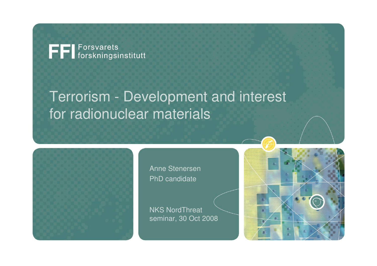FFI Forsvarets<br>FFI forskningsinstitutt

# Terrorism - Development and interest for radionuclear materials



Anne StenersenPhD candidate

NKS NordThreat seminar, 30 Oct 2008

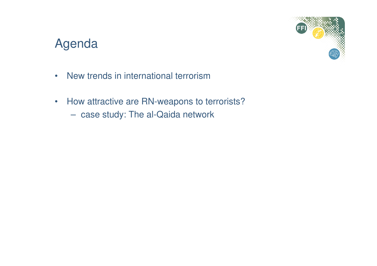## Agenda



- •New trends in international terrorism
- • How attractive are RN-weapons to terrorists?
	- case study: The al-Qaida network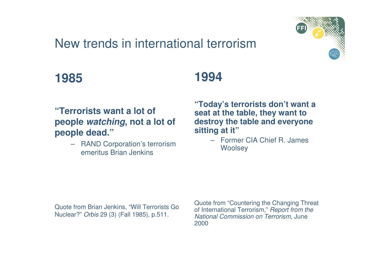# New trends in international terrorism



### **1985**

#### **"Terrorists want a lot of people watching, not a lot of people dead."**

 RAND Corporation's terrorism –emeritus Brian Jenkins

# **1994**

**"Today's terrorists don't want a seat at the table, they want to destroy the table and everyone sitting at it"**

> – Former CIA Chief R. James **Woolsey**

Quote from Brian Jenkins, "Will Terrorists Go Nuclear?" Orbis 29 (3) (Fall 1985), p.511.

Quote from "Countering the Changing Threat of International Terrorism," *Report from the* National Commission on Terrorism, June 2000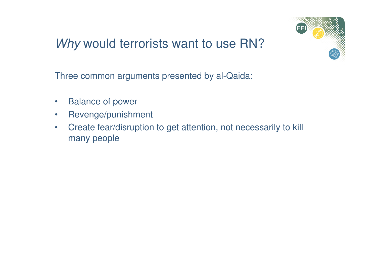# Why would terrorists want to use RN?



Three common arguments presented by al-Qaida:

- $\bullet$ Balance of power
- $\bullet$ Revenge/punishment
- • Create fear/disruption to get attention, not necessarily to kill many people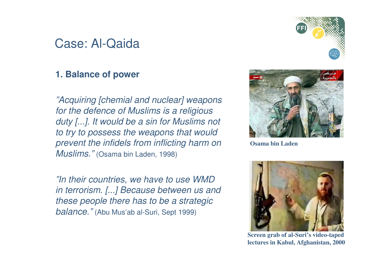### Case: Al-Qaida

#### **1. Balance of power**

"Acquiring [chemial and nuclear] weaponsfor the defence of Muslims is a religious duty [...]. It would be a sin for Muslims not to try to possess the weapons that would prevent the infidels from inflicting harm on ${\it M}$ us ${\it lims."}$  (Osama bin Laden, 1998)

"In their countries, we have to use WMD in terrorism. [...] Because between us andthese people there has to be a strategic  $\emph{balance.}''$  (Abu Mus'ab al-Suri, Sept 1999)



**Osama bin Laden**



**Screen grab of al-Suri's video-tapedlectures in Kabul, Afghanistan, 2000**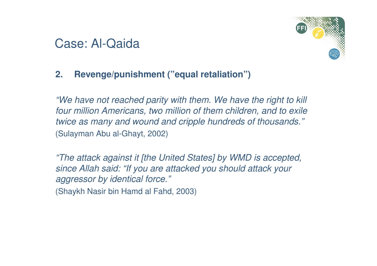## Case: Al-Qaida



#### **2. Revenge/punishment ("equal retaliation")**

"We have not reached parity with them. We have the right to kill four million Americans, two million of them children, and to exile twice as many and wound and cripple hundreds of thousands."(Sulayman Abu al-Ghayt, 2002)

"The attack against it [the United States] by WMD is accepted, since Allah said: "If you are attacked you should attack your aggressor by identical force."

(Shaykh Nasir bin Hamd al Fahd, 2003)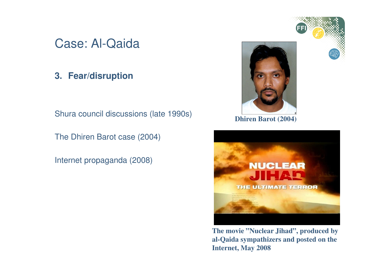## Case: Al-Qaida

#### **3. Fear/disruption**

Shura council discussions (late 1990s)

The Dhiren Barot case (2004)

Internet propaganda (2008)



**The movie "Nuclear Jihad", produced by al-Qaida sympathizers and posted on the Internet, May 2008**